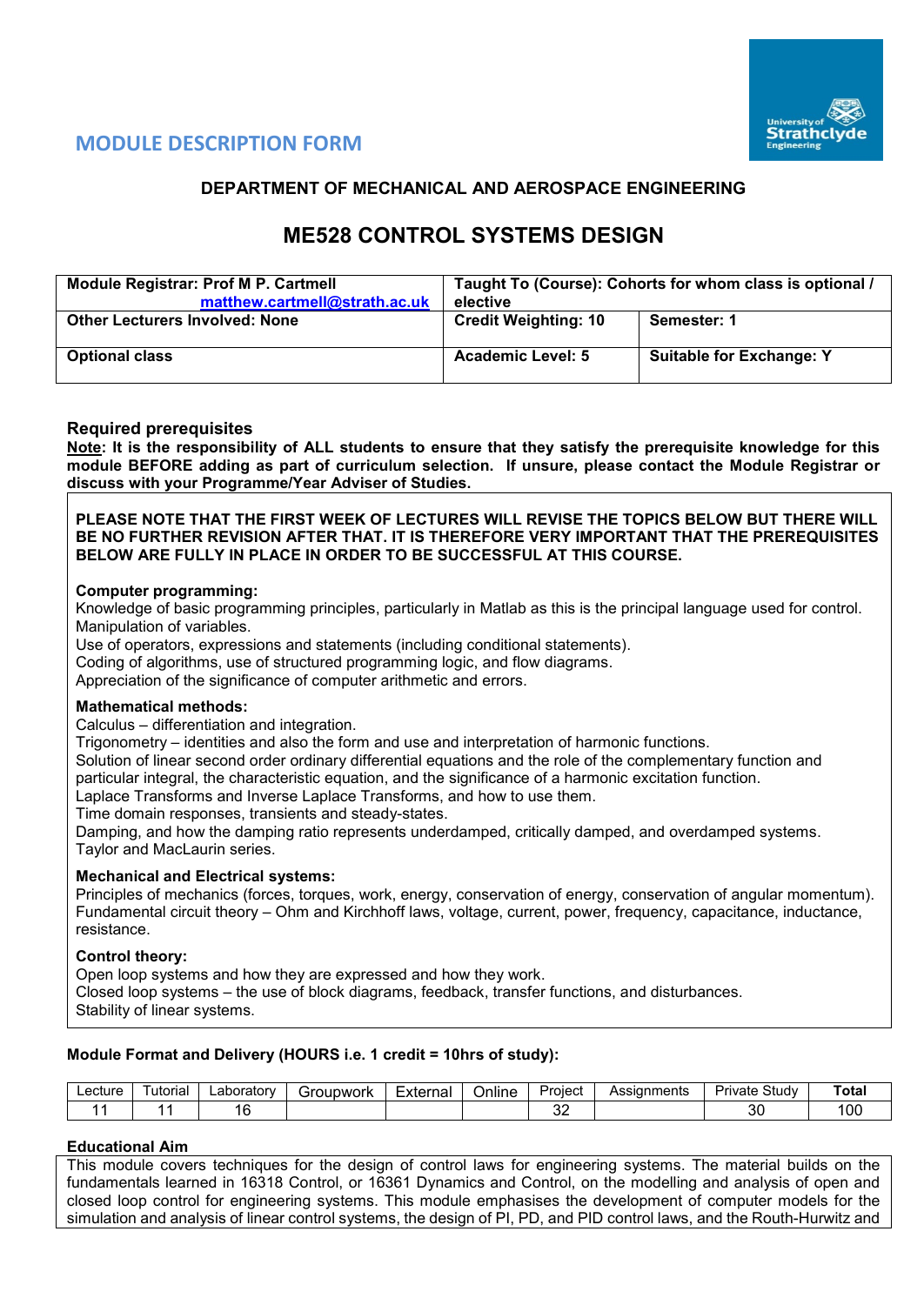

# **MODULE DESCRIPTION FORM**

# **DEPARTMENT OF MECHANICAL AND AEROSPACE ENGINEERING**

# **ME528 CONTROL SYSTEMS DESIGN**

| <b>Module Registrar: Prof M P. Cartmell</b><br>matthew.cartmell@strath.ac.uk | Taught To (Course): Cohorts for whom class is optional /<br>elective |                                 |  |  |  |  |
|------------------------------------------------------------------------------|----------------------------------------------------------------------|---------------------------------|--|--|--|--|
| <b>Other Lecturers Involved: None</b>                                        | <b>Credit Weighting: 10</b>                                          | Semester: 1                     |  |  |  |  |
| <b>Optional class</b>                                                        | <b>Academic Level: 5</b>                                             | <b>Suitable for Exchange: Y</b> |  |  |  |  |

## **Required prerequisites**

**Note: It is the responsibility of ALL students to ensure that they satisfy the prerequisite knowledge for this module BEFORE adding as part of curriculum selection. If unsure, please contact the Module Registrar or discuss with your Programme/Year Adviser of Studies.** 

**PLEASE NOTE THAT THE FIRST WEEK OF LECTURES WILL REVISE THE TOPICS BELOW BUT THERE WILL BE NO FURTHER REVISION AFTER THAT. IT IS THEREFORE VERY IMPORTANT THAT THE PREREQUISITES BELOW ARE FULLY IN PLACE IN ORDER TO BE SUCCESSFUL AT THIS COURSE.**

#### **Computer programming:**

Knowledge of basic programming principles, particularly in Matlab as this is the principal language used for control. Manipulation of variables.

Use of operators, expressions and statements (including conditional statements).

Coding of algorithms, use of structured programming logic, and flow diagrams.

Appreciation of the significance of computer arithmetic and errors.

## **Mathematical methods:**

Calculus – differentiation and integration.

Trigonometry – identities and also the form and use and interpretation of harmonic functions.

Solution of linear second order ordinary differential equations and the role of the complementary function and

particular integral, the characteristic equation, and the significance of a harmonic excitation function. Laplace Transforms and Inverse Laplace Transforms, and how to use them.

Time domain responses, transients and steady-states.

Damping, and how the damping ratio represents underdamped, critically damped, and overdamped systems. Taylor and MacLaurin series.

#### **Mechanical and Electrical systems:**

Principles of mechanics (forces, torques, work, energy, conservation of energy, conservation of angular momentum). Fundamental circuit theory – Ohm and Kirchhoff laws, voltage, current, power, frequency, capacitance, inductance, resistance.

#### **Control theory:**

Open loop systems and how they are expressed and how they work. Closed loop systems – the use of block diagrams, feedback, transfer functions, and disturbances. Stability of linear systems.

# **Module Format and Delivery (HOURS i.e. 1 credit = 10hrs of study):**

| ∟ecture | utorial | ∟aboratorv | `roupwork<br>ы. | External | . .<br>Online | Project   | Assianments | Study<br>Private | Total |
|---------|---------|------------|-----------------|----------|---------------|-----------|-------------|------------------|-------|
|         |         | -<br>◡     |                 |          |               | - -<br>ັ້ |             | $\alpha$<br>οU   | 00    |

# **Educational Aim**

This module covers techniques for the design of control laws for engineering systems. The material builds on the fundamentals learned in 16318 Control, or 16361 Dynamics and Control, on the modelling and analysis of open and closed loop control for engineering systems. This module emphasises the development of computer models for the simulation and analysis of linear control systems, the design of PI, PD, and PID control laws, and the Routh-Hurwitz and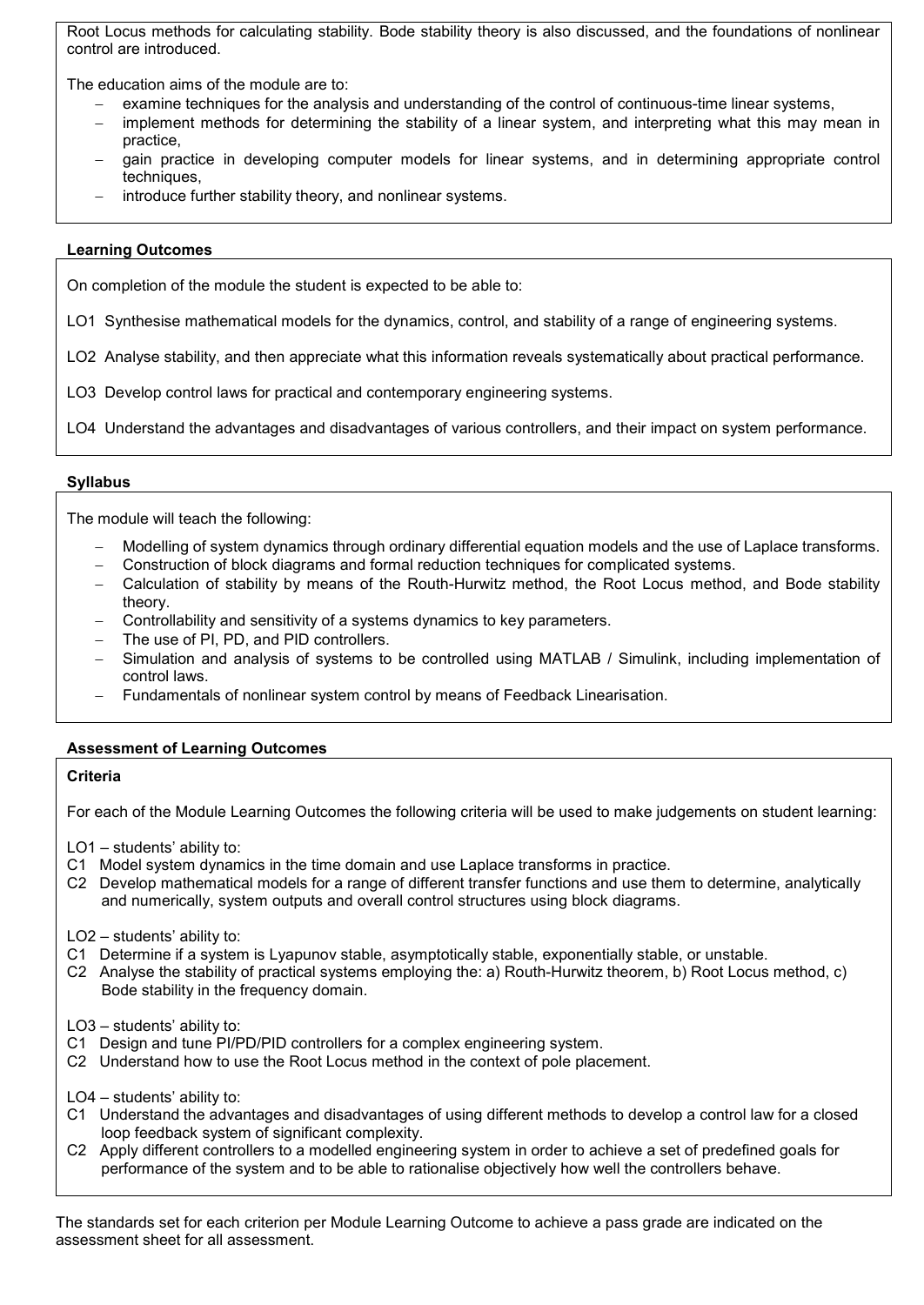Root Locus methods for calculating stability. Bode stability theory is also discussed, and the foundations of nonlinear control are introduced.

The education aims of the module are to:

- examine techniques for the analysis and understanding of the control of continuous-time linear systems,
- implement methods for determining the stability of a linear system, and interpreting what this may mean in practice,
- gain practice in developing computer models for linear systems, and in determining appropriate control techniques,
- introduce further stability theory, and nonlinear systems.

# **Learning Outcomes**

On completion of the module the student is expected to be able to:

LO1 Synthesise mathematical models for the dynamics, control, and stability of a range of engineering systems.

LO2 Analyse stability, and then appreciate what this information reveals systematically about practical performance.

LO3 Develop control laws for practical and contemporary engineering systems.

LO4 Understand the advantages and disadvantages of various controllers, and their impact on system performance.

## **Syllabus**

The module will teach the following:

- − Modelling of system dynamics through ordinary differential equation models and the use of Laplace transforms.
- − Construction of block diagrams and formal reduction techniques for complicated systems.
- − Calculation of stability by means of the Routh-Hurwitz method, the Root Locus method, and Bode stability theory.
- − Controllability and sensitivity of a systems dynamics to key parameters.
- The use of PI, PD, and PID controllers.
- Simulation and analysis of systems to be controlled using MATLAB / Simulink, including implementation of control laws.
- Fundamentals of nonlinear system control by means of Feedback Linearisation.

#### **Assessment of Learning Outcomes**

## **Criteria**

For each of the Module Learning Outcomes the following criteria will be used to make judgements on student learning:

LO1 – students' ability to:

- C1 Model system dynamics in the time domain and use Laplace transforms in practice.
- C2 Develop mathematical models for a range of different transfer functions and use them to determine, analytically and numerically, system outputs and overall control structures using block diagrams.

LO2 – students' ability to:

- C1 Determine if a system is Lyapunov stable, asymptotically stable, exponentially stable, or unstable.
- C2 Analyse the stability of practical systems employing the: a) Routh-Hurwitz theorem, b) Root Locus method, c) Bode stability in the frequency domain.

LO3 – students' ability to:

- C1 Design and tune PI/PD/PID controllers for a complex engineering system.
- C2 Understand how to use the Root Locus method in the context of pole placement.

LO4 – students' ability to:

- C1 Understand the advantages and disadvantages of using different methods to develop a control law for a closed loop feedback system of significant complexity.
- C2 Apply different controllers to a modelled engineering system in order to achieve a set of predefined goals for performance of the system and to be able to rationalise objectively how well the controllers behave.

The standards set for each criterion per Module Learning Outcome to achieve a pass grade are indicated on the assessment sheet for all assessment.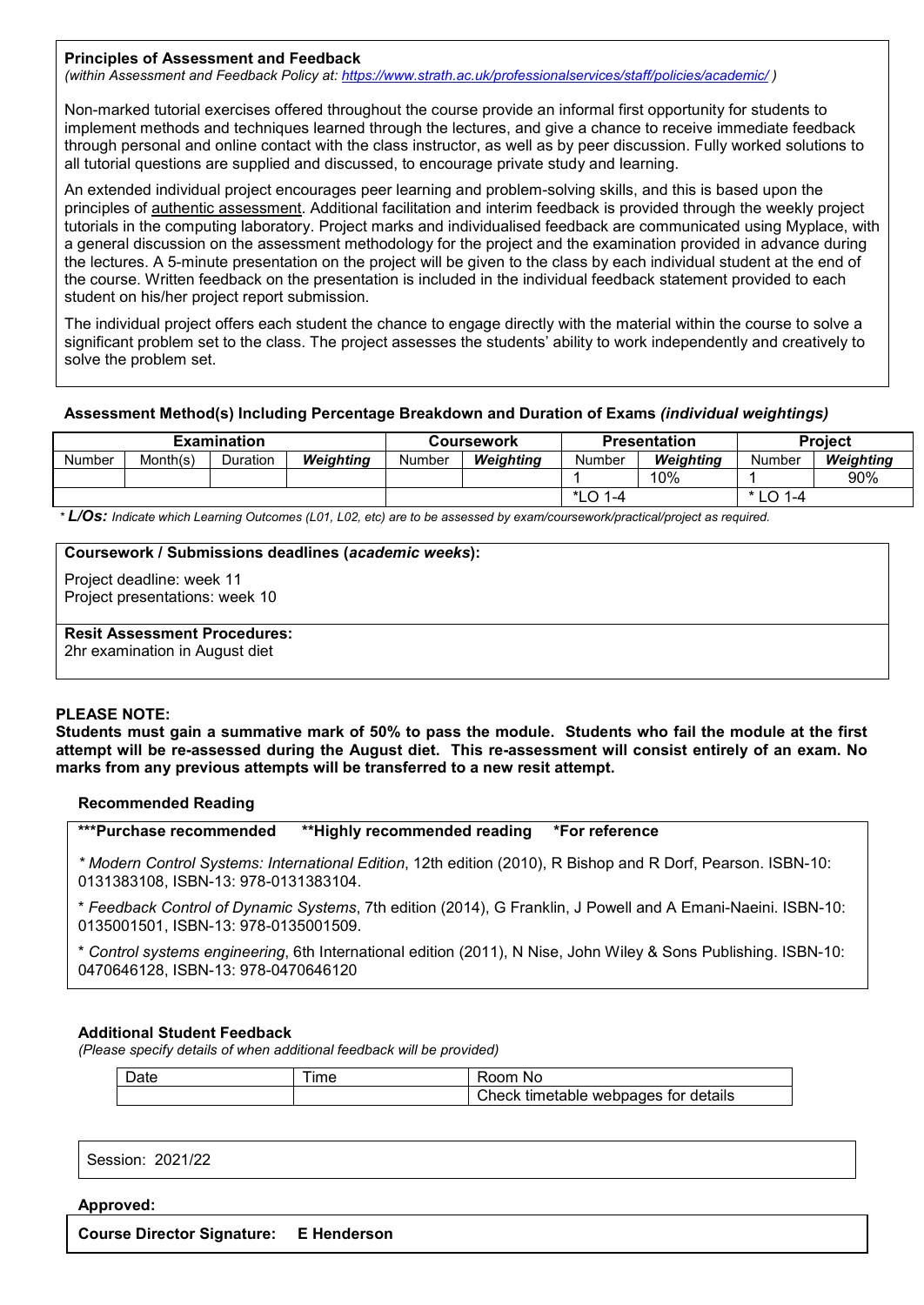#### **Principles of Assessment and Feedback**

*(within Assessment and Feedback Policy at: <https://www.strath.ac.uk/professionalservices/staff/policies/academic/> )*

Non-marked tutorial exercises offered throughout the course provide an informal first opportunity for students to implement methods and techniques learned through the lectures, and give a chance to receive immediate feedback through personal and online contact with the class instructor, as well as by peer discussion. Fully worked solutions to all tutorial questions are supplied and discussed, to encourage private study and learning.

An extended individual project encourages peer learning and problem-solving skills, and this is based upon the principles of authentic assessment. Additional facilitation and interim feedback is provided through the weekly project tutorials in the computing laboratory. Project marks and individualised feedback are communicated using Myplace, with a general discussion on the assessment methodology for the project and the examination provided in advance during the lectures. A 5-minute presentation on the project will be given to the class by each individual student at the end of the course. Written feedback on the presentation is included in the individual feedback statement provided to each student on his/her project report submission.

The individual project offers each student the chance to engage directly with the material within the course to solve a significant problem set to the class. The project assesses the students' ability to work independently and creatively to solve the problem set.

#### **Assessment Method(s) Including Percentage Breakdown and Duration of Exams** *(individual weightings)*

| <b>Examination</b> |          |          |           |        | Coursework |               | <b>Presentation</b> | <b>Project</b> |           |
|--------------------|----------|----------|-----------|--------|------------|---------------|---------------------|----------------|-----------|
| Number             | Month(s) | Duration | Weiahtina | Number | Weiahtina  | <b>Number</b> | Weiahtina           | Number         | Weighting |
|                    |          |          |           |        |            |               | 10%                 |                | 90%       |
|                    |          |          |           |        |            | *LO 1-4       |                     | $*$ LO 1-4     |           |

*\* L/Os: Indicate which Learning Outcomes (L01, L02, etc) are to be assessed by exam/coursework/practical/project as required.*

#### **Coursework / Submissions deadlines (***academic weeks***):**

Project deadline: week 11 Project presentations: week 10

**Resit Assessment Procedures:**

2hr examination in August diet

#### **PLEASE NOTE:**

**Students must gain a summative mark of 50% to pass the module. Students who fail the module at the first attempt will be re-assessed during the August diet. This re-assessment will consist entirely of an exam. No marks from any previous attempts will be transferred to a new resit attempt.**

#### **Recommended Reading**

**\*\*\*Purchase recommended \*\*Highly recommended reading \*For reference** 

*\* Modern Control Systems: International Edition*, 12th edition (2010), R Bishop and R Dorf, Pearson. ISBN-10: 0131383108, ISBN-13: 978-0131383104.

\* *Feedback Control of Dynamic Systems*, 7th edition (2014), G Franklin, J Powell and A Emani-Naeini. ISBN-10: 0135001501, ISBN-13: 978-0135001509.

\* *Control systems engineering*, 6th International edition (2011), N Nise, John Wiley & Sons Publishing. ISBN-10: 0470646128, ISBN-13: 978-0470646120

#### **Additional Student Feedback**

*(Please specify details of when additional feedback will be provided)*

| inte.<br>Jale | ime | .<br>NC<br>pom                                       |
|---------------|-----|------------------------------------------------------|
|               |     | $\cap$ heck u<br>webpages for details »<br>timetable |

Session: 2021/22

**Approved:**

**Course Director Signature: E Henderson**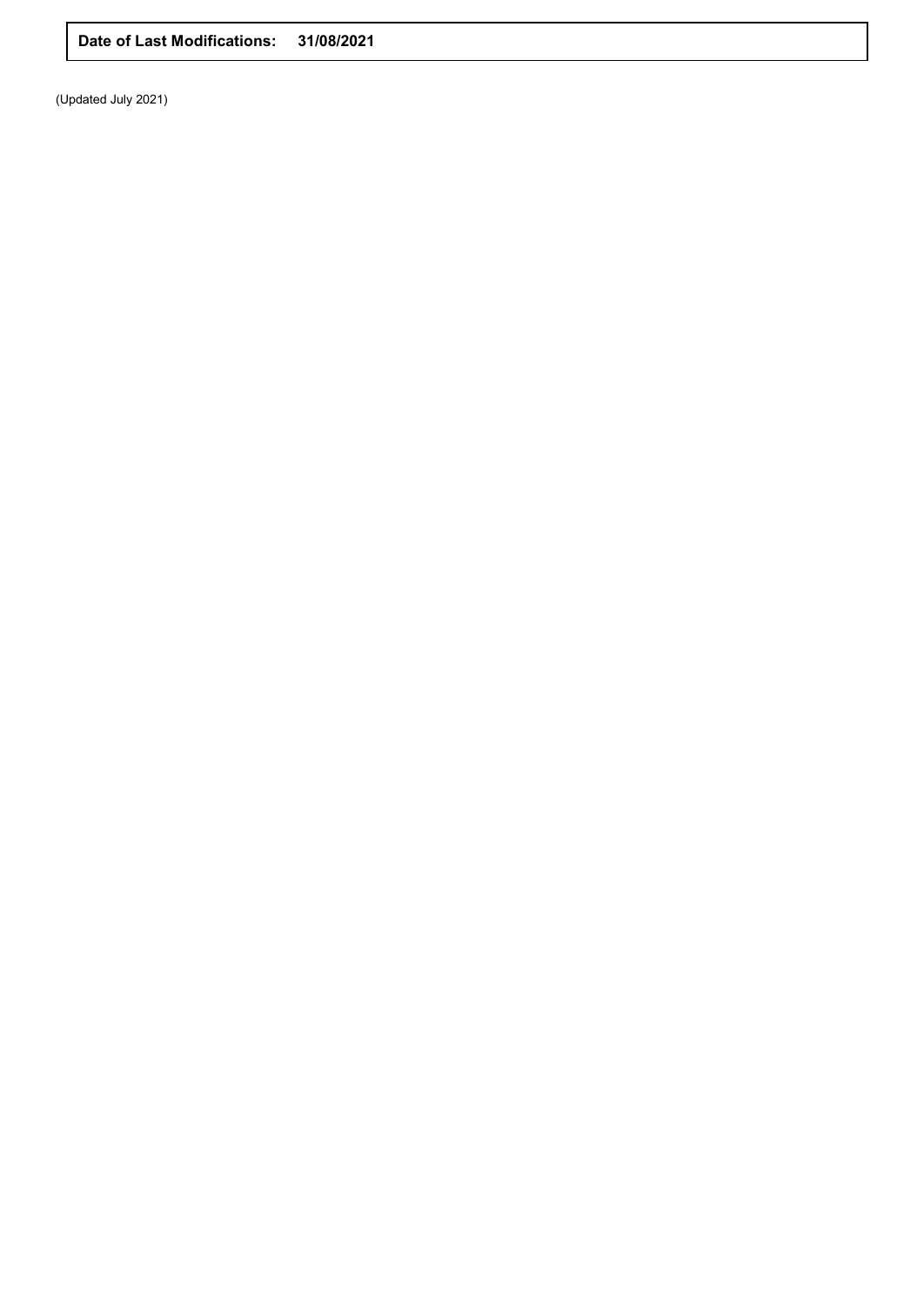**Date of Last Modifications: 31/08/2021**

(Updated July 2021)